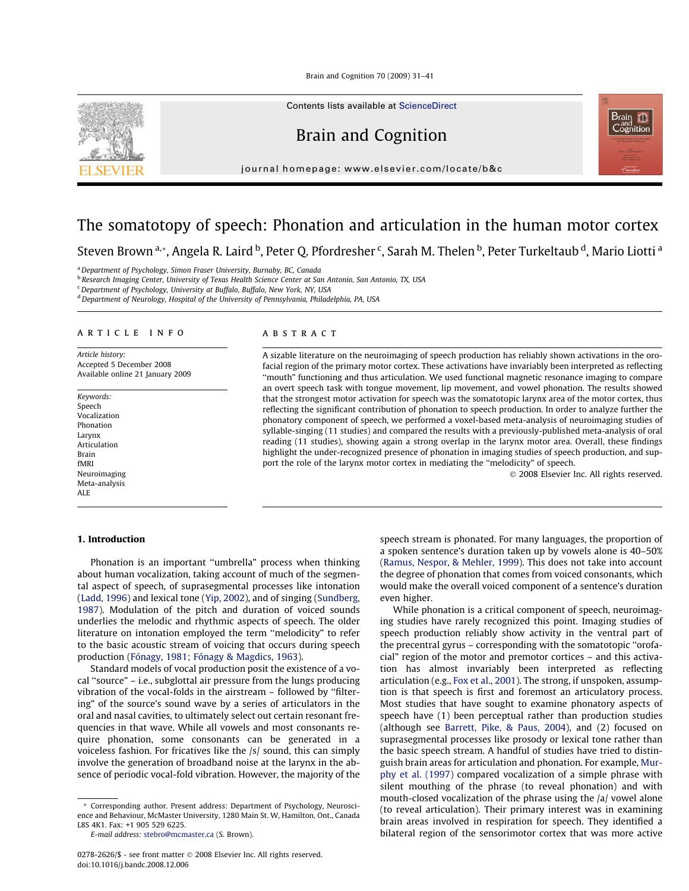Brain and Cognition 70 (2009) 31–41



Contents lists available at ScienceDirect

# Brain and Cognition

journal homepage: www.elsevier.com/locate/b&c

## The somatotopy of speech: Phonation and articulation in the human motor cortex

Steven Brown <sup>a,</sup>\*, Angela R. Laird <sup>b</sup>, Peter Q. Pfordresher <sup>c</sup>, Sarah M. Thelen <sup>b</sup>, Peter Turkeltaub <sup>d</sup>, Mario Liotti <sup>a</sup>

<sup>a</sup> Department of Psychology, Simon Fraser University, Burnaby, BC, Canada

<sup>b</sup> Research Imaging Center, University of Texas Health Science Center at San Antonio, San Antonio, TX, USA

<sup>c</sup> Department of Psychology, University at Buffalo, Buffalo, New York, NY, USA

<sup>d</sup> Department of Neurology, Hospital of the University of Pennsylvania, Philadelphia, PA, USA

## a r t i c l e i n f o

Article history: Accepted 5 December 2008 Available online 21 January 2009

Keywords: Speech Vocalization Phonation Larynx Articulation Brain fMRI Neuroimaging Meta-analysis ALE

## 1. Introduction

## a b s t r a c t

A sizable literature on the neuroimaging of speech production has reliably shown activations in the orofacial region of the primary motor cortex. These activations have invariably been interpreted as reflecting ''mouth" functioning and thus articulation. We used functional magnetic resonance imaging to compare an overt speech task with tongue movement, lip movement, and vowel phonation. The results showed that the strongest motor activation for speech was the somatotopic larynx area of the motor cortex, thus reflecting the significant contribution of phonation to speech production. In order to analyze further the phonatory component of speech, we performed a voxel-based meta-analysis of neuroimaging studies of syllable-singing (11 studies) and compared the results with a previously-published meta-analysis of oral reading (11 studies), showing again a strong overlap in the larynx motor area. Overall, these findings highlight the under-recognized presence of phonation in imaging studies of speech production, and support the role of the larynx motor cortex in mediating the ''melodicity" of speech.

 $©$  2008 Elsevier Inc. All rights reserved.

Brain 1 Cognition

Phonation is an important ''umbrella" process when thinking about human vocalization, taking account of much of the segmental aspect of speech, of suprasegmental processes like intonation (Ladd, 1996) and lexical tone (Yip, 2002), and of singing (Sundberg, 1987). Modulation of the pitch and duration of voiced sounds underlies the melodic and rhythmic aspects of speech. The older literature on intonation employed the term ''melodicity" to refer to the basic acoustic stream of voicing that occurs during speech production (Fónagy, 1981; Fónagy & Magdics, 1963).

Standard models of vocal production posit the existence of a vocal ''source" – i.e., subglottal air pressure from the lungs producing vibration of the vocal-folds in the airstream – followed by ''filtering" of the source's sound wave by a series of articulators in the oral and nasal cavities, to ultimately select out certain resonant frequencies in that wave. While all vowels and most consonants require phonation, some consonants can be generated in a voiceless fashion. For fricatives like the /s/ sound, this can simply involve the generation of broadband noise at the larynx in the absence of periodic vocal-fold vibration. However, the majority of the

\* Corresponding author. Present address: Department of Psychology, Neuroscience and Behaviour, McMaster University, 1280 Main St. W, Hamilton, Ont., Canada L8S 4K1. Fax: +1 905 529 6225.

speech stream is phonated. For many languages, the proportion of a spoken sentence's duration taken up by vowels alone is 40–50% (Ramus, Nespor, & Mehler, 1999). This does not take into account the degree of phonation that comes from voiced consonants, which would make the overall voiced component of a sentence's duration even higher.

While phonation is a critical component of speech, neuroimaging studies have rarely recognized this point. Imaging studies of speech production reliably show activity in the ventral part of the precentral gyrus – corresponding with the somatotopic ''orofacial" region of the motor and premotor cortices – and this activation has almost invariably been interpreted as reflecting articulation (e.g., Fox et al., 2001). The strong, if unspoken, assumption is that speech is first and foremost an articulatory process. Most studies that have sought to examine phonatory aspects of speech have (1) been perceptual rather than production studies (although see Barrett, Pike, & Paus, 2004), and (2) focused on suprasegmental processes like prosody or lexical tone rather than the basic speech stream. A handful of studies have tried to distinguish brain areas for articulation and phonation. For example, Murphy et al. (1997) compared vocalization of a simple phrase with silent mouthing of the phrase (to reveal phonation) and with mouth-closed vocalization of the phrase using the /a/ vowel alone (to reveal articulation). Their primary interest was in examining brain areas involved in respiration for speech. They identified a bilateral region of the sensorimotor cortex that was more active

E-mail address: stebro@mcmaster.ca (S. Brown).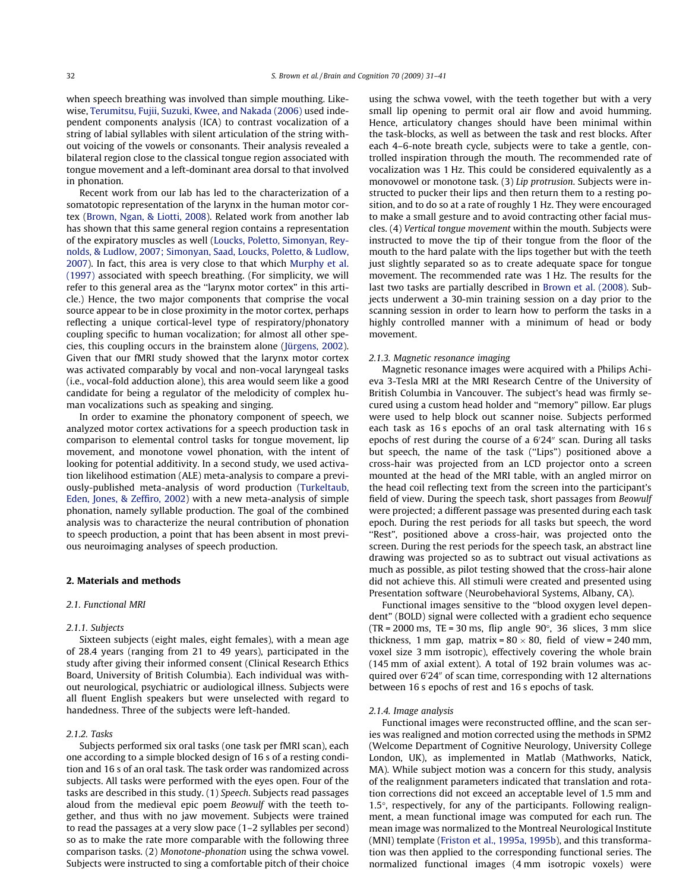when speech breathing was involved than simple mouthing. Likewise, Terumitsu, Fujii, Suzuki, Kwee, and Nakada (2006) used independent components analysis (ICA) to contrast vocalization of a string of labial syllables with silent articulation of the string without voicing of the vowels or consonants. Their analysis revealed a bilateral region close to the classical tongue region associated with tongue movement and a left-dominant area dorsal to that involved in phonation.

Recent work from our lab has led to the characterization of a somatotopic representation of the larynx in the human motor cortex (Brown, Ngan, & Liotti, 2008). Related work from another lab has shown that this same general region contains a representation of the expiratory muscles as well (Loucks, Poletto, Simonyan, Reynolds, & Ludlow, 2007; Simonyan, Saad, Loucks, Poletto, & Ludlow, 2007). In fact, this area is very close to that which Murphy et al. (1997) associated with speech breathing. (For simplicity, we will refer to this general area as the ''larynx motor cortex" in this article.) Hence, the two major components that comprise the vocal source appear to be in close proximity in the motor cortex, perhaps reflecting a unique cortical-level type of respiratory/phonatory coupling specific to human vocalization; for almost all other species, this coupling occurs in the brainstem alone (Jürgens, 2002). Given that our fMRI study showed that the larynx motor cortex was activated comparably by vocal and non-vocal laryngeal tasks (i.e., vocal-fold adduction alone), this area would seem like a good candidate for being a regulator of the melodicity of complex human vocalizations such as speaking and singing.

In order to examine the phonatory component of speech, we analyzed motor cortex activations for a speech production task in comparison to elemental control tasks for tongue movement, lip movement, and monotone vowel phonation, with the intent of looking for potential additivity. In a second study, we used activation likelihood estimation (ALE) meta-analysis to compare a previously-published meta-analysis of word production (Turkeltaub, Eden, Jones, & Zeffiro, 2002) with a new meta-analysis of simple phonation, namely syllable production. The goal of the combined analysis was to characterize the neural contribution of phonation to speech production, a point that has been absent in most previous neuroimaging analyses of speech production.

## 2. Materials and methods

#### 2.1. Functional MRI

#### 2.1.1. Subjects

Sixteen subjects (eight males, eight females), with a mean age of 28.4 years (ranging from 21 to 49 years), participated in the study after giving their informed consent (Clinical Research Ethics Board, University of British Columbia). Each individual was without neurological, psychiatric or audiological illness. Subjects were all fluent English speakers but were unselected with regard to handedness. Three of the subjects were left-handed.

## 2.1.2. Tasks

Subjects performed six oral tasks (one task per fMRI scan), each one according to a simple blocked design of 16 s of a resting condition and 16 s of an oral task. The task order was randomized across subjects. All tasks were performed with the eyes open. Four of the tasks are described in this study. (1) Speech. Subjects read passages aloud from the medieval epic poem Beowulf with the teeth together, and thus with no jaw movement. Subjects were trained to read the passages at a very slow pace (1–2 syllables per second) so as to make the rate more comparable with the following three comparison tasks. (2) Monotone-phonation using the schwa vowel. Subjects were instructed to sing a comfortable pitch of their choice using the schwa vowel, with the teeth together but with a very small lip opening to permit oral air flow and avoid humming. Hence, articulatory changes should have been minimal within the task-blocks, as well as between the task and rest blocks. After each 4–6-note breath cycle, subjects were to take a gentle, controlled inspiration through the mouth. The recommended rate of vocalization was 1 Hz. This could be considered equivalently as a monovowel or monotone task. (3) Lip protrusion. Subjects were instructed to pucker their lips and then return them to a resting position, and to do so at a rate of roughly 1 Hz. They were encouraged to make a small gesture and to avoid contracting other facial muscles. (4) Vertical tongue movement within the mouth. Subjects were instructed to move the tip of their tongue from the floor of the mouth to the hard palate with the lips together but with the teeth just slightly separated so as to create adequate space for tongue movement. The recommended rate was 1 Hz. The results for the last two tasks are partially described in Brown et al. (2008). Subjects underwent a 30-min training session on a day prior to the scanning session in order to learn how to perform the tasks in a highly controlled manner with a minimum of head or body movement.

#### 2.1.3. Magnetic resonance imaging

Magnetic resonance images were acquired with a Philips Achieva 3-Tesla MRI at the MRI Research Centre of the University of British Columbia in Vancouver. The subject's head was firmly secured using a custom head holder and ''memory" pillow. Ear plugs were used to help block out scanner noise. Subjects performed each task as 16 s epochs of an oral task alternating with 16 s epochs of rest during the course of a 6'24" scan. During all tasks but speech, the name of the task ("Lips") positioned above a cross-hair was projected from an LCD projector onto a screen mounted at the head of the MRI table, with an angled mirror on the head coil reflecting text from the screen into the participant's field of view. During the speech task, short passages from Beowulf were projected; a different passage was presented during each task epoch. During the rest periods for all tasks but speech, the word ''Rest", positioned above a cross-hair, was projected onto the screen. During the rest periods for the speech task, an abstract line drawing was projected so as to subtract out visual activations as much as possible, as pilot testing showed that the cross-hair alone did not achieve this. All stimuli were created and presented using Presentation software (Neurobehavioral Systems, Albany, CA).

Functional images sensitive to the ''blood oxygen level dependent" (BOLD) signal were collected with a gradient echo sequence  $(TR = 2000 \text{ ms}, TE = 30 \text{ ms}, \text{ flip angle } 90^{\circ}, 36 \text{ slices}, 3 \text{ mm slice}$ thickness, 1 mm gap, matrix =  $80 \times 80$ , field of view = 240 mm, voxel size 3 mm isotropic), effectively covering the whole brain (145 mm of axial extent). A total of 192 brain volumes was acquired over 6'24" of scan time, corresponding with 12 alternations between 16 s epochs of rest and 16 s epochs of task.

#### 2.1.4. Image analysis

Functional images were reconstructed offline, and the scan series was realigned and motion corrected using the methods in SPM2 (Welcome Department of Cognitive Neurology, University College London, UK), as implemented in Matlab (Mathworks, Natick, MA). While subject motion was a concern for this study, analysis of the realignment parameters indicated that translation and rotation corrections did not exceed an acceptable level of 1.5 mm and 1.5°, respectively, for any of the participants. Following realignment, a mean functional image was computed for each run. The mean image was normalized to the Montreal Neurological Institute (MNI) template (Friston et al., 1995a, 1995b), and this transformation was then applied to the corresponding functional series. The normalized functional images (4 mm isotropic voxels) were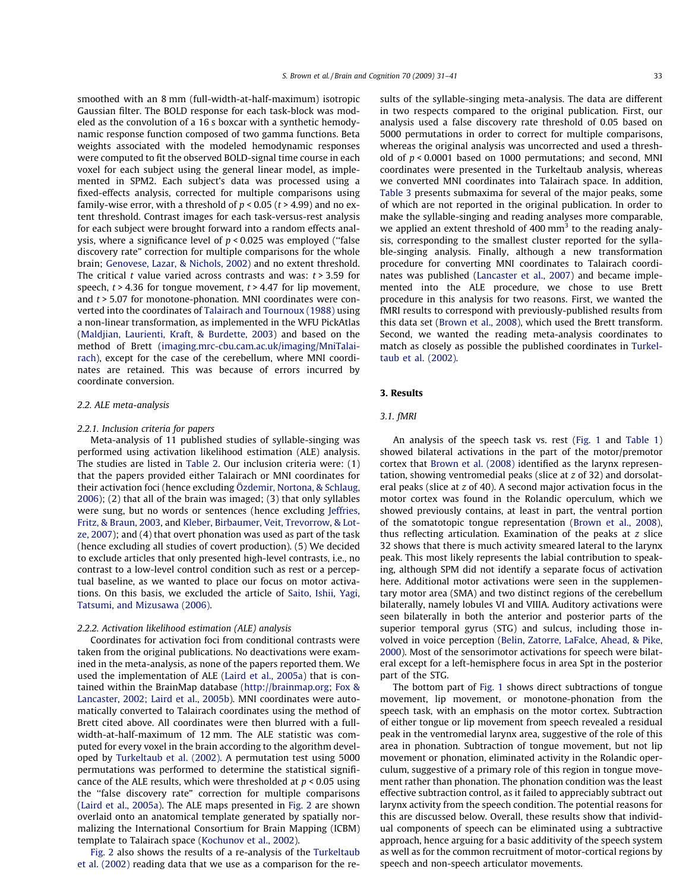smoothed with an 8 mm (full-width-at-half-maximum) isotropic Gaussian filter. The BOLD response for each task-block was modeled as the convolution of a 16 s boxcar with a synthetic hemodynamic response function composed of two gamma functions. Beta weights associated with the modeled hemodynamic responses were computed to fit the observed BOLD-signal time course in each voxel for each subject using the general linear model, as implemented in SPM2. Each subject's data was processed using a fixed-effects analysis, corrected for multiple comparisons using family-wise error, with a threshold of  $p < 0.05$  ( $t > 4.99$ ) and no extent threshold. Contrast images for each task-versus-rest analysis for each subject were brought forward into a random effects analysis, where a significance level of  $p < 0.025$  was employed ("false discovery rate" correction for multiple comparisons for the whole brain; Genovese, Lazar, & Nichols, 2002) and no extent threshold. The critical t value varied across contrasts and was:  $t > 3.59$  for speech,  $t > 4.36$  for tongue movement,  $t > 4.47$  for lip movement, and  $t > 5.07$  for monotone-phonation. MNI coordinates were converted into the coordinates of Talairach and Tournoux (1988) using a non-linear transformation, as implemented in the WFU PickAtlas (Maldjian, Laurienti, Kraft, & Burdette, 2003) and based on the method of Brett (imaging.mrc-cbu.cam.ac.uk/imaging/MniTalairach), except for the case of the cerebellum, where MNI coordinates are retained. This was because of errors incurred by coordinate conversion.

#### 2.2. ALE meta-analysis

#### 2.2.1. Inclusion criteria for papers

Meta-analysis of 11 published studies of syllable-singing was performed using activation likelihood estimation (ALE) analysis. The studies are listed in Table 2. Our inclusion criteria were: (1) that the papers provided either Talairach or MNI coordinates for their activation foci (hence excluding Özdemir, Nortona, & Schlaug, 2006); (2) that all of the brain was imaged; (3) that only syllables were sung, but no words or sentences (hence excluding Jeffries, Fritz, & Braun, 2003, and Kleber, Birbaumer, Veit, Trevorrow, & Lotze, 2007); and (4) that overt phonation was used as part of the task (hence excluding all studies of covert production). (5) We decided to exclude articles that only presented high-level contrasts, i.e., no contrast to a low-level control condition such as rest or a perceptual baseline, as we wanted to place our focus on motor activations. On this basis, we excluded the article of Saito, Ishii, Yagi, Tatsumi, and Mizusawa (2006).

### 2.2.2. Activation likelihood estimation (ALE) analysis

Coordinates for activation foci from conditional contrasts were taken from the original publications. No deactivations were examined in the meta-analysis, as none of the papers reported them. We used the implementation of ALE (Laird et al., 2005a) that is contained within the BrainMap database (http://brainmap.org; Fox & Lancaster, 2002; Laird et al., 2005b). MNI coordinates were automatically converted to Talairach coordinates using the method of Brett cited above. All coordinates were then blurred with a fullwidth-at-half-maximum of 12 mm. The ALE statistic was computed for every voxel in the brain according to the algorithm developed by Turkeltaub et al. (2002). A permutation test using 5000 permutations was performed to determine the statistical significance of the ALE results, which were thresholded at  $p < 0.05$  using the ''false discovery rate" correction for multiple comparisons (Laird et al., 2005a). The ALE maps presented in Fig. 2 are shown overlaid onto an anatomical template generated by spatially normalizing the International Consortium for Brain Mapping (ICBM) template to Talairach space (Kochunov et al., 2002).

Fig. 2 also shows the results of a re-analysis of the Turkeltaub et al. (2002) reading data that we use as a comparison for the results of the syllable-singing meta-analysis. The data are different in two respects compared to the original publication. First, our analysis used a false discovery rate threshold of 0.05 based on 5000 permutations in order to correct for multiple comparisons, whereas the original analysis was uncorrected and used a threshold of  $p < 0.0001$  based on 1000 permutations; and second, MNI coordinates were presented in the Turkeltaub analysis, whereas we converted MNI coordinates into Talairach space. In addition, Table 3 presents submaxima for several of the major peaks, some of which are not reported in the original publication. In order to make the syllable-singing and reading analyses more comparable, we applied an extent threshold of  $400 \text{ mm}^3$  to the reading analysis, corresponding to the smallest cluster reported for the syllable-singing analysis. Finally, although a new transformation procedure for converting MNI coordinates to Talairach coordinates was published (Lancaster et al., 2007) and became implemented into the ALE procedure, we chose to use Brett procedure in this analysis for two reasons. First, we wanted the fMRI results to correspond with previously-published results from this data set (Brown et al., 2008), which used the Brett transform. Second, we wanted the reading meta-analysis coordinates to match as closely as possible the published coordinates in Turkeltaub et al. (2002).

#### 3. Results

## 3.1. fMRI

An analysis of the speech task vs. rest (Fig. 1 and Table 1) showed bilateral activations in the part of the motor/premotor cortex that Brown et al. (2008) identified as the larynx representation, showing ventromedial peaks (slice at  $z$  of 32) and dorsolateral peaks (slice at z of 40). A second major activation focus in the motor cortex was found in the Rolandic operculum, which we showed previously contains, at least in part, the ventral portion of the somatotopic tongue representation (Brown et al., 2008), thus reflecting articulation. Examination of the peaks at z slice 32 shows that there is much activity smeared lateral to the larynx peak. This most likely represents the labial contribution to speaking, although SPM did not identify a separate focus of activation here. Additional motor activations were seen in the supplementary motor area (SMA) and two distinct regions of the cerebellum bilaterally, namely lobules VI and VIIIA. Auditory activations were seen bilaterally in both the anterior and posterior parts of the superior temporal gyrus (STG) and sulcus, including those involved in voice perception (Belin, Zatorre, LaFalce, Ahead, & Pike, 2000). Most of the sensorimotor activations for speech were bilateral except for a left-hemisphere focus in area Spt in the posterior part of the STG.

The bottom part of Fig. 1 shows direct subtractions of tongue movement, lip movement, or monotone-phonation from the speech task, with an emphasis on the motor cortex. Subtraction of either tongue or lip movement from speech revealed a residual peak in the ventromedial larynx area, suggestive of the role of this area in phonation. Subtraction of tongue movement, but not lip movement or phonation, eliminated activity in the Rolandic operculum, suggestive of a primary role of this region in tongue movement rather than phonation. The phonation condition was the least effective subtraction control, as it failed to appreciably subtract out larynx activity from the speech condition. The potential reasons for this are discussed below. Overall, these results show that individual components of speech can be eliminated using a subtractive approach, hence arguing for a basic additivity of the speech system as well as for the common recruitment of motor-cortical regions by speech and non-speech articulator movements.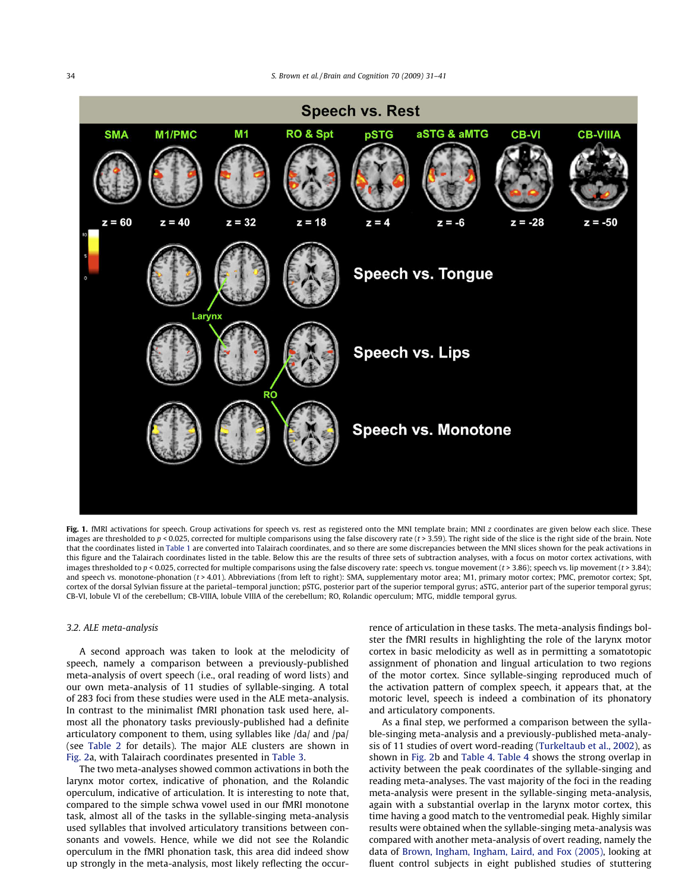

Fig. 1. fMRI activations for speech. Group activations for speech vs. rest as registered onto the MNI template brain; MNI z coordinates are given below each slice. These images are thresholded to  $p < 0.025$ , corrected for multiple comparisons using the false discovery rate (t > 3.59). The right side of the slice is the right side of the brain. Note that the coordinates listed in Table 1 are converted into Talairach coordinates, and so there are some discrepancies between the MNI slices shown for the peak activations in this figure and the Talairach coordinates listed in the table. Below this are the results of three sets of subtraction analyses, with a focus on motor cortex activations, with images thresholded to  $p < 0.025$ , corrected for multiple comparisons using the false discovery rate: speech vs. tongue movement ( $t > 3.86$ ); speech vs. lip movement ( $t > 3.84$ ); and speech vs. monotone-phonation (t > 4.01). Abbreviations (from left to right): SMA, supplementary motor area; M1, primary motor cortex; PMC, premotor cortex; Spt, cortex of the dorsal Sylvian fissure at the parietal–temporal junction; pSTG, posterior part of the superior temporal gyrus; aSTG, anterior part of the superior temporal gyrus; CB-VI, lobule VI of the cerebellum; CB-VIIIA, lobule VIIIA of the cerebellum; RO, Rolandic operculum; MTG, middle temporal gyrus.

#### 3.2. ALE meta-analysis

A second approach was taken to look at the melodicity of speech, namely a comparison between a previously-published meta-analysis of overt speech (i.e., oral reading of word lists) and our own meta-analysis of 11 studies of syllable-singing. A total of 283 foci from these studies were used in the ALE meta-analysis. In contrast to the minimalist fMRI phonation task used here, almost all the phonatory tasks previously-published had a definite articulatory component to them, using syllables like /da/ and /pa/ (see Table 2 for details). The major ALE clusters are shown in Fig. 2a, with Talairach coordinates presented in Table 3.

The two meta-analyses showed common activations in both the larynx motor cortex, indicative of phonation, and the Rolandic operculum, indicative of articulation. It is interesting to note that, compared to the simple schwa vowel used in our fMRI monotone task, almost all of the tasks in the syllable-singing meta-analysis used syllables that involved articulatory transitions between consonants and vowels. Hence, while we did not see the Rolandic operculum in the fMRI phonation task, this area did indeed show up strongly in the meta-analysis, most likely reflecting the occurrence of articulation in these tasks. The meta-analysis findings bolster the fMRI results in highlighting the role of the larynx motor cortex in basic melodicity as well as in permitting a somatotopic assignment of phonation and lingual articulation to two regions of the motor cortex. Since syllable-singing reproduced much of the activation pattern of complex speech, it appears that, at the motoric level, speech is indeed a combination of its phonatory and articulatory components.

As a final step, we performed a comparison between the syllable-singing meta-analysis and a previously-published meta-analysis of 11 studies of overt word-reading (Turkeltaub et al., 2002), as shown in Fig. 2b and Table 4. Table 4 shows the strong overlap in activity between the peak coordinates of the syllable-singing and reading meta-analyses. The vast majority of the foci in the reading meta-analysis were present in the syllable-singing meta-analysis, again with a substantial overlap in the larynx motor cortex, this time having a good match to the ventromedial peak. Highly similar results were obtained when the syllable-singing meta-analysis was compared with another meta-analysis of overt reading, namely the data of Brown, Ingham, Ingham, Laird, and Fox (2005), looking at fluent control subjects in eight published studies of stuttering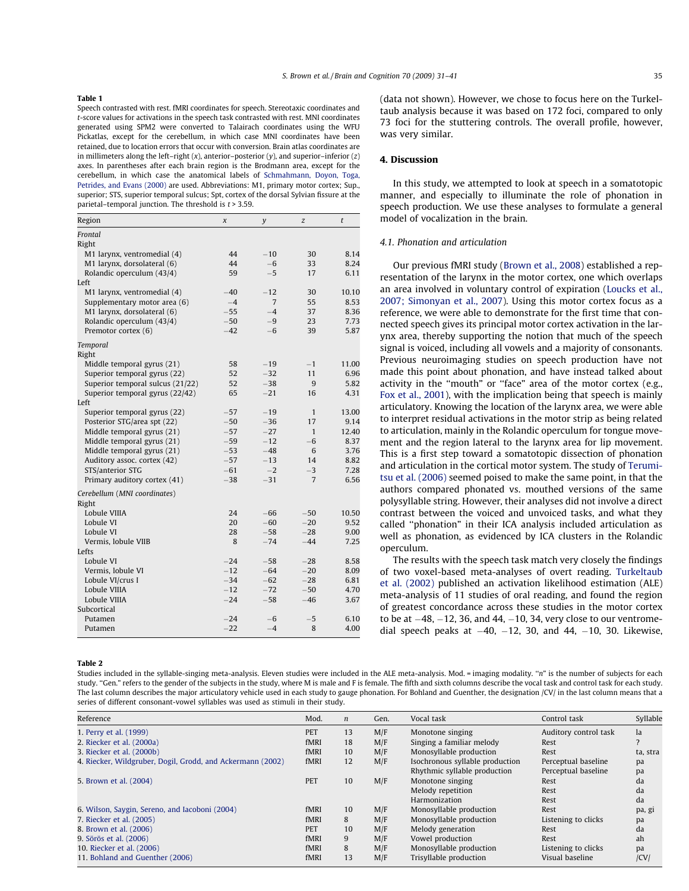### Table 1

Speech contrasted with rest. fMRI coordinates for speech. Stereotaxic coordinates and t-score values for activations in the speech task contrasted with rest. MNI coordinates generated using SPM2 were converted to Talairach coordinates using the WFU Pickatlas, except for the cerebellum, in which case MNI coordinates have been retained, due to location errors that occur with conversion. Brain atlas coordinates are in millimeters along the left–right  $(x)$ , anterior–posterior  $(y)$ , and superior–inferior  $(z)$ axes. In parentheses after each brain region is the Brodmann area, except for the cerebellum, in which case the anatomical labels of Schmahmann, Doyon, Toga, Petrides, and Evans (2000) are used. Abbreviations: M1, primary motor cortex; Sup., superior; STS, superior temporal sulcus; Spt, cortex of the dorsal Sylvian fissure at the parietal–temporal junction. The threshold is  $t > 3.59$ .

| Region                           | $\chi$ | $\mathcal{Y}$  | z              | t     |
|----------------------------------|--------|----------------|----------------|-------|
| Frontal                          |        |                |                |       |
| Right                            |        |                |                |       |
| M1 larynx, ventromedial (4)      | 44     | $-10$          | 30             | 8.14  |
| M1 larynx, dorsolateral (6)      | 44     | $-6$           | 33             | 8.24  |
| Rolandic operculum (43/4)        | 59     | $-5$           | 17             | 6.11  |
| Left                             |        |                |                |       |
| M1 larynx, ventromedial (4)      | $-40$  | $-12$          | 30             | 10.10 |
| Supplementary motor area (6)     | $-4$   | $\overline{7}$ | 55             | 8.53  |
| M1 larynx, dorsolateral (6)      | $-55$  | $-4$           | 37             | 8.36  |
| Rolandic operculum (43/4)        | $-50$  | $-9$           | 23             | 7.73  |
| Premotor cortex (6)              | $-42$  | $-6$           | 39             | 5.87  |
| Temporal                         |        |                |                |       |
| Right                            |        |                |                |       |
| Middle temporal gyrus (21)       | 58     | $-19$          | $-1$           | 11.00 |
| Superior temporal gyrus (22)     | 52     | $-32$          | 11             | 6.96  |
| Superior temporal sulcus (21/22) | 52     | $-38$          | 9              | 5.82  |
| Superior temporal gyrus (22/42)  | 65     | $-21$          | 16             | 4.31  |
| Left                             |        |                |                |       |
| Superior temporal gyrus (22)     | $-57$  | $-19$          | $\mathbf{1}$   | 13.00 |
| Posterior STG/area spt (22)      | $-50$  | $-36$          | 17             | 9.14  |
| Middle temporal gyrus (21)       | $-57$  | $-27$          | $\mathbf{1}$   | 12.40 |
| Middle temporal gyrus (21)       | $-59$  | $-12$          | $-6$           | 8.37  |
| Middle temporal gyrus (21)       | $-53$  | $-48$          | 6              | 3.76  |
| Auditory assoc. cortex (42)      | $-57$  | $-13$          | 14             | 8.82  |
| STS/anterior STG                 | $-61$  | $-2$           | $-3$           | 7.28  |
| Primary auditory cortex (41)     | $-38$  | $-31$          | $\overline{7}$ | 6.56  |
| Cerebellum (MNI coordinates)     |        |                |                |       |
| Right                            |        |                |                |       |
| Lobule VIIIA                     | 24     | $-66$          | $-50$          | 10.50 |
| Lobule VI                        | 20     | $-60$          | $-20$          | 9.52  |
| Lobule VI                        | 28     | $-58$          | $-28$          | 9.00  |
| Vermis, lobule VIIB              | 8      | $-74$          | $-44$          | 7.25  |
| Lefts                            |        |                |                |       |
| Lobule VI                        | $-24$  | $-58$          | $-28$          | 8.58  |
| Vermis, lobule VI                | $-12$  | $-64$          | $-20$          | 8.09  |
| Lobule VI/crus I                 | $-34$  | $-62$          | $-28$          | 6.81  |
| Lobule VIIIA                     | $-12$  | $-72$          | $-50$          | 4.70  |
| Lobule VIIIA                     | $-24$  | $-58$          | $-46$          | 3.67  |
| Subcortical                      |        |                |                |       |
| Putamen                          | $-24$  | $-6$           | $-5$           | 6.10  |
| Putamen                          | $-22$  | $-4$           | 8              | 4.00  |

(data not shown). However, we chose to focus here on the Turkeltaub analysis because it was based on 172 foci, compared to only 73 foci for the stuttering controls. The overall profile, however, was very similar.

## 4. Discussion

In this study, we attempted to look at speech in a somatotopic manner, and especially to illuminate the role of phonation in speech production. We use these analyses to formulate a general model of vocalization in the brain.

## 4.1. Phonation and articulation

Our previous fMRI study (Brown et al., 2008) established a representation of the larynx in the motor cortex, one which overlaps an area involved in voluntary control of expiration (Loucks et al., 2007; Simonyan et al., 2007). Using this motor cortex focus as a reference, we were able to demonstrate for the first time that connected speech gives its principal motor cortex activation in the larynx area, thereby supporting the notion that much of the speech signal is voiced, including all vowels and a majority of consonants. Previous neuroimaging studies on speech production have not made this point about phonation, and have instead talked about activity in the "mouth" or "face" area of the motor cortex (e.g., Fox et al., 2001), with the implication being that speech is mainly articulatory. Knowing the location of the larynx area, we were able to interpret residual activations in the motor strip as being related to articulation, mainly in the Rolandic operculum for tongue movement and the region lateral to the larynx area for lip movement. This is a first step toward a somatotopic dissection of phonation and articulation in the cortical motor system. The study of Terumitsu et al. (2006) seemed poised to make the same point, in that the authors compared phonated vs. mouthed versions of the same polysyllable string. However, their analyses did not involve a direct contrast between the voiced and unvoiced tasks, and what they called ''phonation" in their ICA analysis included articulation as well as phonation, as evidenced by ICA clusters in the Rolandic operculum.

The results with the speech task match very closely the findings of two voxel-based meta-analyses of overt reading. Turkeltaub et al. (2002) published an activation likelihood estimation (ALE) meta-analysis of 11 studies of oral reading, and found the region of greatest concordance across these studies in the motor cortex to be at  $-48$ ,  $-12$ , 36, and 44,  $-10$ , 34, very close to our ventromedial speech peaks at  $-40$ ,  $-12$ , 30, and 44,  $-10$ , 30. Likewise,

#### Table 2

Studies included in the syllable-singing meta-analysis. Eleven studies were included in the ALE meta-analysis. Mod. = imaging modality. "n" is the number of subjects for each study. ''Gen." refers to the gender of the subjects in the study, where M is male and F is female. The fifth and sixth columns describe the vocal task and control task for each study. The last column describes the major articulatory vehicle used in each study to gauge phonation. For Bohland and Guenther, the designation /CV/ in the last column means that a series of different consonant-vowel syllables was used as stimuli in their study.

| Reference                                                  | Mod.       | $\mathfrak n$ | Gen. | Vocal task                                                      | Control task                               | Syllable       |
|------------------------------------------------------------|------------|---------------|------|-----------------------------------------------------------------|--------------------------------------------|----------------|
| 1. Perry et al. (1999)                                     | PET        | 13            | M/F  | Monotone singing                                                | Auditory control task                      | la             |
| 2. Riecker et al. (2000a)                                  | fMRI       | 18            | M/F  | Singing a familiar melody                                       | Rest                                       |                |
| 3. Riecker et al. (2000b)                                  | fMRI       | 10            | M/F  | Monosyllable production                                         | Rest                                       | ta, stra       |
| 4. Riecker, Wildgruber, Dogil, Grodd, and Ackermann (2002) | fMRI       | 12            | M/F  | Isochronous syllable production<br>Rhythmic syllable production | Perceptual baseline<br>Perceptual baseline | pa<br>pa       |
| 5. Brown et al. (2004)                                     | <b>PET</b> | 10            | M/F  | Monotone singing<br>Melody repetition<br>Harmonization          | Rest<br>Rest<br>Rest                       | da<br>da<br>da |
| 6. Wilson, Saygin, Sereno, and Iacoboni (2004)             | fMRI       | 10            | M/F  | Monosyllable production                                         | Rest                                       | pa, gi         |
| 7. Riecker et al. (2005)                                   | fMRI       | 8             | M/F  | Monosyllable production                                         | Listening to clicks                        | pa             |
| 8. Brown et al. (2006)                                     | <b>PET</b> | 10            | M/F  | Melody generation                                               | Rest                                       | da             |
| 9. Sörös et al. (2006)                                     | fMRI       | 9             | M/F  | Vowel production                                                | Rest                                       | ah             |
| 10. Riecker et al. (2006)                                  | fMRI       | 8             | M/F  | Monosyllable production                                         | Listening to clicks                        | pa             |
| 11. Bohland and Guenther (2006)                            | fMRI       | 13            | M/F  | Trisyllable production                                          | Visual baseline                            | CV             |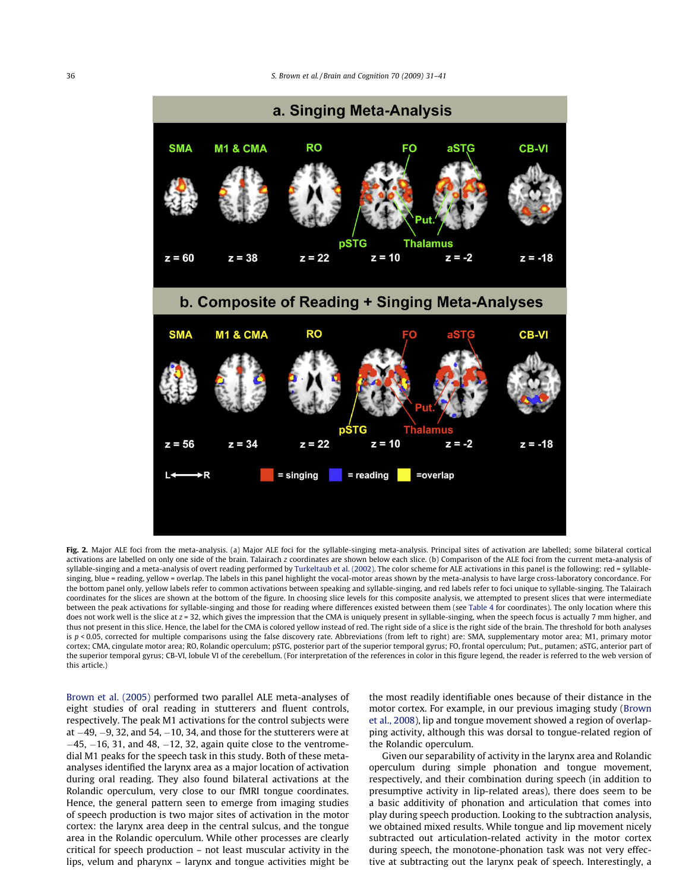

Fig. 2. Major ALE foci from the meta-analysis. (a) Major ALE foci for the syllable-singing meta-analysis. Principal sites of activation are labelled; some bilateral cortical activations are labelled on only one side of the brain. Talairach z coordinates are shown below each slice. (b) Comparison of the ALE foci from the current meta-analysis of syllable-singing and a meta-analysis of overt reading performed by Turkeltaub et al. (2002). The color scheme for ALE activations in this panel is the following: red = syllablesinging, blue = reading, yellow = overlap. The labels in this panel highlight the vocal-motor areas shown by the meta-analysis to have large cross-laboratory concordance. For the bottom panel only, yellow labels refer to common activations between speaking and syllable-singing, and red labels refer to foci unique to syllable-singing. The Talairach coordinates for the slices are shown at the bottom of the figure. In choosing slice levels for this composite analysis, we attempted to present slices that were intermediate between the peak activations for syllable-singing and those for reading where differences existed between them (see Table 4 for coordinates). The only location where this does not work well is the slice at  $z = 32$ , which gives the impression that the CMA is uniquely present in syllable-singing, when the speech focus is actually 7 mm higher, and thus not present in this slice. Hence, the label for the CMA is colored yellow instead of red. The right side of a slice is the right side of the brain. The threshold for both analyses is p < 0.05, corrected for multiple comparisons using the false discovery rate. Abbreviations (from left to right) are: SMA, supplementary motor area; M1, primary motor cortex; CMA, cingulate motor area; RO, Rolandic operculum; pSTG, posterior part of the superior temporal gyrus; FO, frontal operculum; Put., putamen; aSTG, anterior part of the superior temporal gyrus; CB-VI, lobule VI of the cerebellum. (For interpretation of the references in color in this figure legend, the reader is referred to the web version of this article.)

Brown et al. (2005) performed two parallel ALE meta-analyses of eight studies of oral reading in stutterers and fluent controls, respectively. The peak M1 activations for the control subjects were at  $-49$ ,  $-9$ , 32, and 54,  $-10$ , 34, and those for the stutterers were at  $-45$ ,  $-16$ , 31, and 48,  $-12$ , 32, again quite close to the ventromedial M1 peaks for the speech task in this study. Both of these metaanalyses identified the larynx area as a major location of activation during oral reading. They also found bilateral activations at the Rolandic operculum, very close to our fMRI tongue coordinates. Hence, the general pattern seen to emerge from imaging studies of speech production is two major sites of activation in the motor cortex: the larynx area deep in the central sulcus, and the tongue area in the Rolandic operculum. While other processes are clearly critical for speech production – not least muscular activity in the lips, velum and pharynx – larynx and tongue activities might be

the most readily identifiable ones because of their distance in the motor cortex. For example, in our previous imaging study (Brown et al., 2008), lip and tongue movement showed a region of overlapping activity, although this was dorsal to tongue-related region of the Rolandic operculum.

Given our separability of activity in the larynx area and Rolandic operculum during simple phonation and tongue movement, respectively, and their combination during speech (in addition to presumptive activity in lip-related areas), there does seem to be a basic additivity of phonation and articulation that comes into play during speech production. Looking to the subtraction analysis, we obtained mixed results. While tongue and lip movement nicely subtracted out articulation-related activity in the motor cortex during speech, the monotone-phonation task was not very effective at subtracting out the larynx peak of speech. Interestingly, a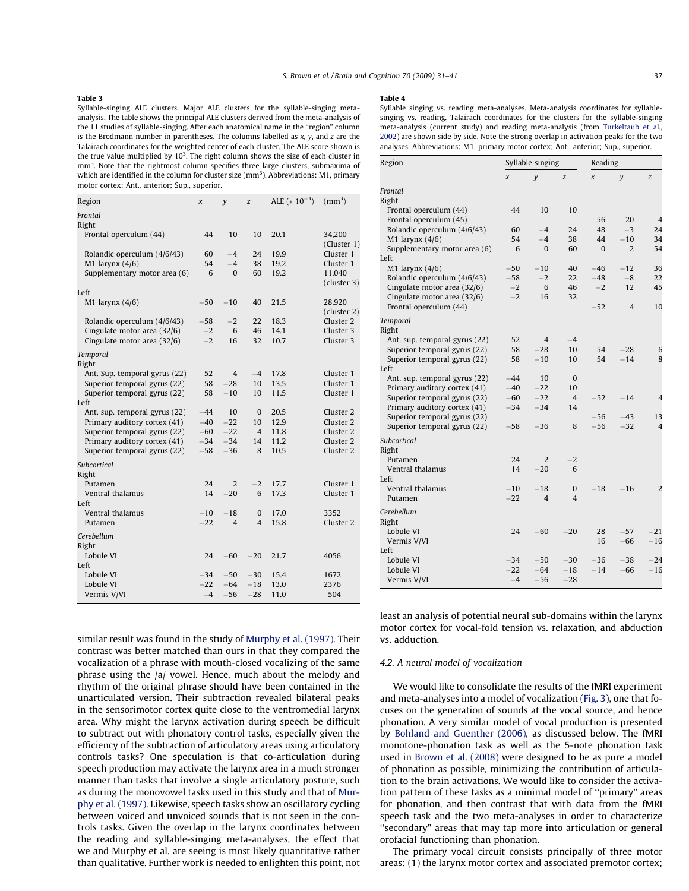#### Table 3

#### Table 4

Syllable-singing ALE clusters. Major ALE clusters for the syllable-singing metaanalysis. The table shows the principal ALE clusters derived from the meta-analysis of the 11 studies of syllable-singing. After each anatomical name in the ''region" column is the Brodmann number in parentheses. The columns labelled as  $x$ ,  $y$ , and  $z$  are the Talairach coordinates for the weighted center of each cluster. The ALE score shown is the true value multiplied by  $10<sup>3</sup>$ . The right column shows the size of each cluster in mm<sup>3</sup>. Note that the rightmost column specifies three large clusters, submaxima of which are identified in the column for cluster size  $(mm<sup>3</sup>)$ . Abbreviations: M1, primary motor cortex; Ant., anterior; Sup., superior.

| Region                                | $\chi$ | y              | z              | ALE $(* 10^{-3})$ | (mm <sup>3</sup> )       |
|---------------------------------------|--------|----------------|----------------|-------------------|--------------------------|
| Frontal                               |        |                |                |                   |                          |
| Right                                 |        |                |                |                   |                          |
| Frontal operculum (44)                | 44     | 10             | 10             | 20.1              | 34,200                   |
| Rolandic operculum (4/6/43)           | 60     | $-4$           | 24             | 19.9              | (Cluster 1)<br>Cluster 1 |
| M1 larynx $(4/6)$                     | 54     | $-4$           | 38             | 19.2              | Cluster 1                |
| Supplementary motor area (6)          | 6      | $\mathbf{0}$   | 60             | 19.2              | 11,040                   |
|                                       |        |                |                |                   | (cluster 3)              |
| Left                                  |        |                |                |                   |                          |
| M1 larynx $(4/6)$                     | $-50$  | $-10$          | 40             | 21.5              | 28,920                   |
|                                       |        |                |                |                   | (cluster 2)              |
| Rolandic operculum (4/6/43)           | $-58$  | $-2$           | 22             | 18.3              | Cluster 2                |
| Cingulate motor area (32/6)           | $-2$   | 6              | 46             | 14.1              | Cluster 3                |
| Cingulate motor area (32/6)           | $-2$   | 16             | 32             | 10.7              | Cluster 3                |
| Temporal                              |        |                |                |                   |                          |
| Right                                 |        |                |                |                   |                          |
| Ant. Sup. temporal gyrus (22)         | 52     | $\overline{4}$ | $-4$           | 17.8              | Cluster 1                |
| Superior temporal gyrus (22)          | 58     | $-28$          | 10             | 13.5              | Cluster 1                |
| Superior temporal gyrus (22)          | 58     | $-10$          | 10             | 11.5              | Cluster 1                |
| Left<br>Ant. sup. temporal gyrus (22) | $-44$  | 10             | 0              | 20.5              | Cluster 2                |
| Primary auditory cortex (41)          | $-40$  | $-22$          | 10             | 12.9              | Cluster 2                |
| Superior temporal gyrus (22)          | $-60$  | $-22$          | $\overline{4}$ | 11.8              | Cluster <sub>2</sub>     |
| Primary auditory cortex (41)          | $-34$  | $-34$          | 14             | 11.2              | Cluster 2                |
| Superior temporal gyrus (22)          | $-58$  | $-36$          | 8              | 10.5              | Cluster 2                |
| Subcortical                           |        |                |                |                   |                          |
| Right                                 |        |                |                |                   |                          |
| Putamen                               | 24     | $\overline{2}$ | $-2$           | 17.7              | Cluster 1                |
| Ventral thalamus                      | 14     | $-20$          | 6              | 17.3              | Cluster 1                |
| Left                                  |        |                |                |                   |                          |
| Ventral thalamus                      | $-10$  | $-18$          | $\mathbf{0}$   | 17.0              | 3352                     |
| Putamen                               | $-22$  | $\overline{4}$ | $\overline{4}$ | 15.8              | Cluster <sub>2</sub>     |
| Cerebellum                            |        |                |                |                   |                          |
| Right                                 |        |                |                |                   |                          |
| Lobule VI                             | 24     | $-60$          | $-20$          | 21.7              | 4056                     |
| Left                                  |        |                |                |                   |                          |
| Lobule VI                             | $-34$  | $-50$          | $-30$          | 15.4              | 1672                     |
| Lobule VI                             | $-22$  | $-64$          | $-18$          | 13.0              | 2376                     |
| Vermis V/VI                           | $-4$   | $-56$          | $-28$          | 11.0              | 504                      |

similar result was found in the study of Murphy et al. (1997). Their contrast was better matched than ours in that they compared the vocalization of a phrase with mouth-closed vocalizing of the same phrase using the /a/ vowel. Hence, much about the melody and rhythm of the original phrase should have been contained in the unarticulated version. Their subtraction revealed bilateral peaks in the sensorimotor cortex quite close to the ventromedial larynx area. Why might the larynx activation during speech be difficult to subtract out with phonatory control tasks, especially given the efficiency of the subtraction of articulatory areas using articulatory controls tasks? One speculation is that co-articulation during speech production may activate the larynx area in a much stronger manner than tasks that involve a single articulatory posture, such as during the monovowel tasks used in this study and that of Murphy et al. (1997). Likewise, speech tasks show an oscillatory cycling between voiced and unvoiced sounds that is not seen in the controls tasks. Given the overlap in the larynx coordinates between the reading and syllable-singing meta-analyses, the effect that we and Murphy et al. are seeing is most likely quantitative rather than qualitative. Further work is needed to enlighten this point, not

| Region                                                     |               | Syllable singing |                  | Reading  |                |                |
|------------------------------------------------------------|---------------|------------------|------------------|----------|----------------|----------------|
|                                                            | $\chi$        | y                | $\boldsymbol{z}$ | $\chi$   | $\mathcal{Y}$  | z              |
| Frontal                                                    |               |                  |                  |          |                |                |
| Right                                                      |               |                  |                  |          |                |                |
| Frontal operculum (44)                                     | 44            | 10               | 10               |          |                |                |
| Frontal operculum (45)                                     |               |                  |                  | 56       | 20             | $\overline{4}$ |
| Rolandic operculum (4/6/43)                                | 60            | $-4$             | 24               | 48       | $-3$           | 24             |
| M1 larynx $(4/6)$                                          | 54            | $-4$             | 38               | 44       | $-10$          | 34             |
| Supplementary motor area (6)                               | 6             | $\Omega$         | 60               | $\Omega$ | $\overline{2}$ | 54             |
| Left                                                       |               |                  |                  | $-46$    |                | 36             |
| M1 larynx $(4/6)$                                          | $-50$         | $-10$<br>$-2$    | 40               | $-48$    | $-12$          |                |
| Rolandic operculum (4/6/43)                                | $-58$<br>$-2$ | 6                | 22<br>46         | $-2$     | $-8$<br>12     | 22<br>45       |
| Cingulate motor area (32/6)<br>Cingulate motor area (32/6) | $-2$          | 16               | 32               |          |                |                |
| Frontal operculum (44)                                     |               |                  |                  | $-52$    | $\overline{4}$ | 10             |
|                                                            |               |                  |                  |          |                |                |
| Temporal                                                   |               |                  |                  |          |                |                |
| Right                                                      |               |                  |                  |          |                |                |
| Ant. sup. temporal gyrus (22)                              | 52            | $\overline{4}$   | $-4$             |          |                |                |
| Superior temporal gyrus (22)                               | 58            | $-28$            | 10               | 54       | $-28$          | 6              |
| Superior temporal gyrus (22)                               | 58            | $-10$            | 10               | 54       | $-14$          | 8              |
| Left                                                       |               |                  |                  |          |                |                |
| Ant. sup. temporal gyrus (22)                              | $-44$         | 10               | $\Omega$         |          |                |                |
| Primary auditory cortex (41)                               | $-40$         | $-22$            | 10               |          |                |                |
| Superior temporal gyrus (22)                               | $-60$         | $-22$            | $\overline{4}$   | $-52$    | $-14$          | $\overline{4}$ |
| Primary auditory cortex (41)                               | $-34$         | $-34$            | 14               |          |                |                |
| Superior temporal gyrus (22)                               |               |                  |                  | $-56$    | $-43$          | 13             |
| Superior temporal gyrus (22)                               | $-58$         | $-36$            | 8                | $-56$    | $-32$          | $\overline{4}$ |
| Subcortical                                                |               |                  |                  |          |                |                |
| Right                                                      |               |                  |                  |          |                |                |
| Putamen                                                    | 24            | $\overline{2}$   | $-2$             |          |                |                |
| Ventral thalamus                                           | 14            | $-20$            | 6                |          |                |                |
| Left                                                       |               |                  |                  |          |                |                |
| Ventral thalamus                                           | $-10$         | $-18$            | 0                | $-18$    | $-16$          | $\overline{2}$ |
| Putamen                                                    | $-22$         | $\overline{4}$   | $\overline{4}$   |          |                |                |
| Cerebellum                                                 |               |                  |                  |          |                |                |
| Right                                                      |               |                  |                  |          |                |                |
| Lobule VI                                                  | 24            | $-60$            | $-20$            | 28       | $-57$          | $-21$          |
| Vermis V/VI                                                |               |                  |                  | 16       | $-66$          | $-16$          |
| Left                                                       |               |                  |                  |          |                |                |
| Lobule VI                                                  | $-34$         | $-50$            | $-30$            | $-36$    | $-38$          | $^{-24}$       |
| Lobule VI                                                  | $-22$         | $-64$            | $-18$            | $-14$    | $-66$          | $-16$          |
| Vermis V/VI                                                | $-4$          | $-56$            | $-28$            |          |                |                |

least an analysis of potential neural sub-domains within the larynx motor cortex for vocal-fold tension vs. relaxation, and abduction vs. adduction.

## 4.2. A neural model of vocalization

We would like to consolidate the results of the fMRI experiment and meta-analyses into a model of vocalization (Fig. 3), one that focuses on the generation of sounds at the vocal source, and hence phonation. A very similar model of vocal production is presented by Bohland and Guenther (2006), as discussed below. The fMRI monotone-phonation task as well as the 5-note phonation task used in Brown et al. (2008) were designed to be as pure a model of phonation as possible, minimizing the contribution of articulation to the brain activations. We would like to consider the activation pattern of these tasks as a minimal model of ''primary" areas for phonation, and then contrast that with data from the fMRI speech task and the two meta-analyses in order to characterize ''secondary" areas that may tap more into articulation or general orofacial functioning than phonation.

The primary vocal circuit consists principally of three motor areas: (1) the larynx motor cortex and associated premotor cortex;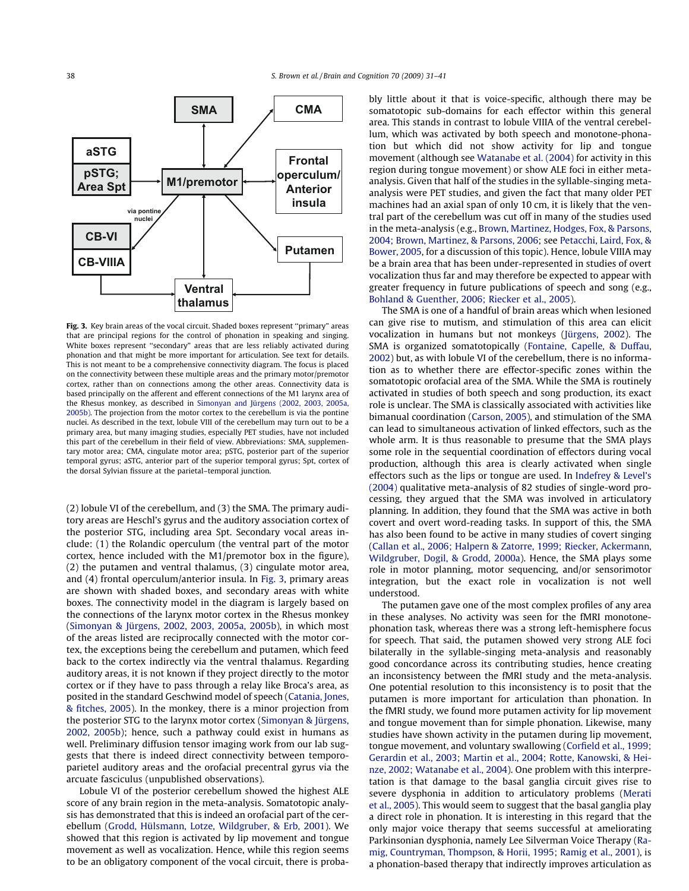

Fig. 3. Key brain areas of the vocal circuit. Shaded boxes represent "primary" areas that are principal regions for the control of phonation in speaking and singing. White boxes represent ''secondary" areas that are less reliably activated during phonation and that might be more important for articulation. See text for details. This is not meant to be a comprehensive connectivity diagram. The focus is placed on the connectivity between these multiple areas and the primary motor/premotor cortex, rather than on connections among the other areas. Connectivity data is based principally on the afferent and efferent connections of the M1 larynx area of the Rhesus monkey, as described in Simonyan and Jürgens (2002, 2003, 2005a, 2005b). The projection from the motor cortex to the cerebellum is via the pontine nuclei. As described in the text, lobule VIII of the cerebellum may turn out to be a primary area, but many imaging studies, especially PET studies, have not included this part of the cerebellum in their field of view. Abbreviations: SMA, supplementary motor area; CMA, cingulate motor area; pSTG, posterior part of the superior temporal gyrus; aSTG, anterior part of the superior temporal gyrus; Spt, cortex of the dorsal Sylvian fissure at the parietal–temporal junction.

(2) lobule VI of the cerebellum, and (3) the SMA. The primary auditory areas are Heschl's gyrus and the auditory association cortex of the posterior STG, including area Spt. Secondary vocal areas include: (1) the Rolandic operculum (the ventral part of the motor cortex, hence included with the M1/premotor box in the figure), (2) the putamen and ventral thalamus, (3) cingulate motor area, and (4) frontal operculum/anterior insula. In Fig. 3, primary areas are shown with shaded boxes, and secondary areas with white boxes. The connectivity model in the diagram is largely based on the connections of the larynx motor cortex in the Rhesus monkey (Simonyan & Jürgens, 2002, 2003, 2005a, 2005b), in which most of the areas listed are reciprocally connected with the motor cortex, the exceptions being the cerebellum and putamen, which feed back to the cortex indirectly via the ventral thalamus. Regarding auditory areas, it is not known if they project directly to the motor cortex or if they have to pass through a relay like Broca's area, as posited in the standard Geschwind model of speech (Catania, Jones, & fitches, 2005). In the monkey, there is a minor projection from the posterior STG to the larynx motor cortex (Simonyan & Jürgens, 2002, 2005b); hence, such a pathway could exist in humans as well. Preliminary diffusion tensor imaging work from our lab suggests that there is indeed direct connectivity between temporoparietel auditory areas and the orofacial precentral gyrus via the arcuate fasciculus (unpublished observations).

Lobule VI of the posterior cerebellum showed the highest ALE score of any brain region in the meta-analysis. Somatotopic analysis has demonstrated that this is indeed an orofacial part of the cerebellum (Grodd, Hülsmann, Lotze, Wildgruber, & Erb, 2001). We showed that this region is activated by lip movement and tongue movement as well as vocalization. Hence, while this region seems to be an obligatory component of the vocal circuit, there is probably little about it that is voice-specific, although there may be somatotopic sub-domains for each effector within this general area. This stands in contrast to lobule VIIIA of the ventral cerebellum, which was activated by both speech and monotone-phonation but which did not show activity for lip and tongue movement (although see Watanabe et al. (2004) for activity in this region during tongue movement) or show ALE foci in either metaanalysis. Given that half of the studies in the syllable-singing metaanalysis were PET studies, and given the fact that many older PET machines had an axial span of only 10 cm, it is likely that the ventral part of the cerebellum was cut off in many of the studies used in the meta-analysis (e.g., Brown, Martinez, Hodges, Fox, & Parsons, 2004; Brown, Martinez, & Parsons, 2006; see Petacchi, Laird, Fox, & Bower, 2005, for a discussion of this topic). Hence, lobule VIIIA may be a brain area that has been under-represented in studies of overt vocalization thus far and may therefore be expected to appear with greater frequency in future publications of speech and song (e.g., Bohland & Guenther, 2006; Riecker et al., 2005).

The SMA is one of a handful of brain areas which when lesioned can give rise to mutism, and stimulation of this area can elicit vocalization in humans but not monkeys (Jürgens, 2002). The SMA is organized somatotopically (Fontaine, Capelle, & Duffau, 2002) but, as with lobule VI of the cerebellum, there is no information as to whether there are effector-specific zones within the somatotopic orofacial area of the SMA. While the SMA is routinely activated in studies of both speech and song production, its exact role is unclear. The SMA is classically associated with activities like bimanual coordination (Carson, 2005), and stimulation of the SMA can lead to simultaneous activation of linked effectors, such as the whole arm. It is thus reasonable to presume that the SMA plays some role in the sequential coordination of effectors during vocal production, although this area is clearly activated when single effectors such as the lips or tongue are used. In Indefrey & Level's (2004) qualitative meta-analysis of 82 studies of single-word processing, they argued that the SMA was involved in articulatory planning. In addition, they found that the SMA was active in both covert and overt word-reading tasks. In support of this, the SMA has also been found to be active in many studies of covert singing (Callan et al., 2006; Halpern & Zatorre, 1999; Riecker, Ackermann, Wildgruber, Dogil, & Grodd, 2000a). Hence, the SMA plays some role in motor planning, motor sequencing, and/or sensorimotor integration, but the exact role in vocalization is not well understood.

The putamen gave one of the most complex profiles of any area in these analyses. No activity was seen for the fMRI monotonephonation task, whereas there was a strong left-hemisphere focus for speech. That said, the putamen showed very strong ALE foci bilaterally in the syllable-singing meta-analysis and reasonably good concordance across its contributing studies, hence creating an inconsistency between the fMRI study and the meta-analysis. One potential resolution to this inconsistency is to posit that the putamen is more important for articulation than phonation. In the fMRI study, we found more putamen activity for lip movement and tongue movement than for simple phonation. Likewise, many studies have shown activity in the putamen during lip movement, tongue movement, and voluntary swallowing (Corfield et al., 1999; Gerardin et al., 2003; Martin et al., 2004; Rotte, Kanowski, & Heinze, 2002; Watanabe et al., 2004). One problem with this interpretation is that damage to the basal ganglia circuit gives rise to severe dysphonia in addition to articulatory problems (Merati et al., 2005). This would seem to suggest that the basal ganglia play a direct role in phonation. It is interesting in this regard that the only major voice therapy that seems successful at ameliorating Parkinsonian dysphonia, namely Lee Silverman Voice Therapy (Ramig, Countryman, Thompson, & Horii, 1995; Ramig et al., 2001), is a phonation-based therapy that indirectly improves articulation as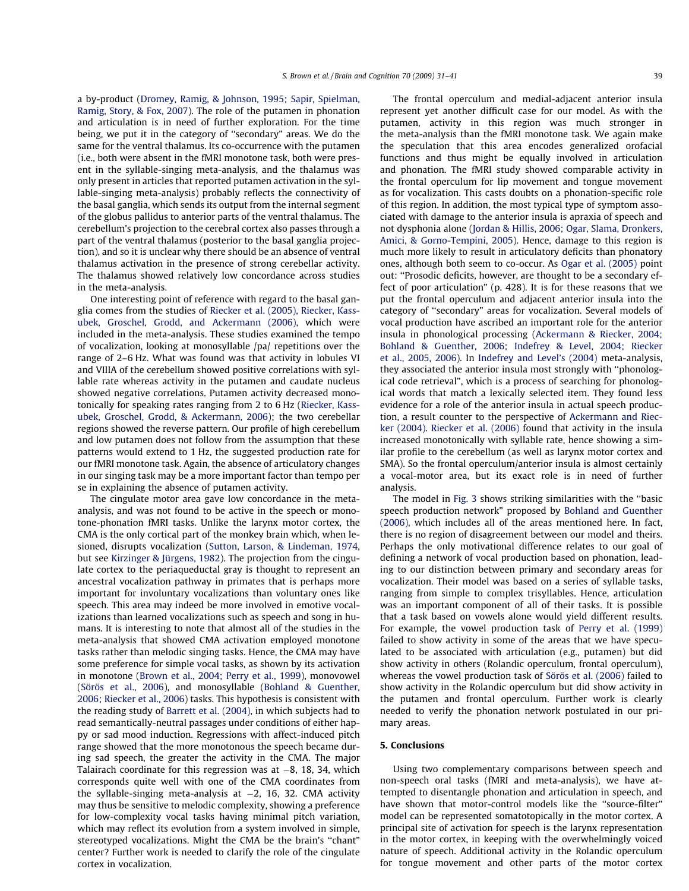a by-product (Dromey, Ramig, & Johnson, 1995; Sapir, Spielman, Ramig, Story, & Fox, 2007). The role of the putamen in phonation and articulation is in need of further exploration. For the time being, we put it in the category of ''secondary" areas. We do the same for the ventral thalamus. Its co-occurrence with the putamen (i.e., both were absent in the fMRI monotone task, both were present in the syllable-singing meta-analysis, and the thalamus was only present in articles that reported putamen activation in the syllable-singing meta-analysis) probably reflects the connectivity of the basal ganglia, which sends its output from the internal segment of the globus pallidus to anterior parts of the ventral thalamus. The cerebellum's projection to the cerebral cortex also passes through a part of the ventral thalamus (posterior to the basal ganglia projection), and so it is unclear why there should be an absence of ventral thalamus activation in the presence of strong cerebellar activity. The thalamus showed relatively low concordance across studies in the meta-analysis.

One interesting point of reference with regard to the basal ganglia comes from the studies of Riecker et al. (2005), Riecker, Kassubek, Groschel, Grodd, and Ackermann (2006), which were included in the meta-analysis. These studies examined the tempo of vocalization, looking at monosyllable /pa/ repetitions over the range of 2–6 Hz. What was found was that activity in lobules VI and VIIIA of the cerebellum showed positive correlations with syllable rate whereas activity in the putamen and caudate nucleus showed negative correlations. Putamen activity decreased monotonically for speaking rates ranging from 2 to 6 Hz (Riecker, Kassubek, Groschel, Grodd, & Ackermann, 2006); the two cerebellar regions showed the reverse pattern. Our profile of high cerebellum and low putamen does not follow from the assumption that these patterns would extend to 1 Hz, the suggested production rate for our fMRI monotone task. Again, the absence of articulatory changes in our singing task may be a more important factor than tempo per se in explaining the absence of putamen activity.

The cingulate motor area gave low concordance in the metaanalysis, and was not found to be active in the speech or monotone-phonation fMRI tasks. Unlike the larynx motor cortex, the CMA is the only cortical part of the monkey brain which, when lesioned, disrupts vocalization (Sutton, Larson, & Lindeman, 1974, but see Kirzinger & Jürgens, 1982). The projection from the cingulate cortex to the periaqueductal gray is thought to represent an ancestral vocalization pathway in primates that is perhaps more important for involuntary vocalizations than voluntary ones like speech. This area may indeed be more involved in emotive vocalizations than learned vocalizations such as speech and song in humans. It is interesting to note that almost all of the studies in the meta-analysis that showed CMA activation employed monotone tasks rather than melodic singing tasks. Hence, the CMA may have some preference for simple vocal tasks, as shown by its activation in monotone (Brown et al., 2004; Perry et al., 1999), monovowel (Sörös et al., 2006), and monosyllable (Bohland & Guenther, 2006; Riecker et al., 2006) tasks. This hypothesis is consistent with the reading study of Barrett et al. (2004), in which subjects had to read semantically-neutral passages under conditions of either happy or sad mood induction. Regressions with affect-induced pitch range showed that the more monotonous the speech became during sad speech, the greater the activity in the CMA. The major Talairach coordinate for this regression was at  $-8$ , 18, 34, which corresponds quite well with one of the CMA coordinates from the syllable-singing meta-analysis at  $-2$ , 16, 32. CMA activity may thus be sensitive to melodic complexity, showing a preference for low-complexity vocal tasks having minimal pitch variation, which may reflect its evolution from a system involved in simple, stereotyped vocalizations. Might the CMA be the brain's ''chant" center? Further work is needed to clarify the role of the cingulate cortex in vocalization.

The frontal operculum and medial-adjacent anterior insula represent yet another difficult case for our model. As with the putamen, activity in this region was much stronger in the meta-analysis than the fMRI monotone task. We again make the speculation that this area encodes generalized orofacial functions and thus might be equally involved in articulation and phonation. The fMRI study showed comparable activity in the frontal operculum for lip movement and tongue movement as for vocalization. This casts doubts on a phonation-specific role of this region. In addition, the most typical type of symptom associated with damage to the anterior insula is apraxia of speech and not dysphonia alone (Jordan & Hillis, 2006; Ogar, Slama, Dronkers, Amici, & Gorno-Tempini, 2005). Hence, damage to this region is much more likely to result in articulatory deficits than phonatory ones, although both seem to co-occur. As Ogar et al. (2005) point out: ''Prosodic deficits, however, are thought to be a secondary effect of poor articulation" (p. 428). It is for these reasons that we put the frontal operculum and adjacent anterior insula into the category of ''secondary" areas for vocalization. Several models of vocal production have ascribed an important role for the anterior insula in phonological processing (Ackermann & Riecker, 2004; Bohland & Guenther, 2006; Indefrey & Level, 2004; Riecker et al., 2005, 2006). In Indefrey and Level's (2004) meta-analysis, they associated the anterior insula most strongly with ''phonological code retrieval", which is a process of searching for phonological words that match a lexically selected item. They found less evidence for a role of the anterior insula in actual speech production, a result counter to the perspective of Ackermann and Riecker (2004). Riecker et al. (2006) found that activity in the insula increased monotonically with syllable rate, hence showing a similar profile to the cerebellum (as well as larynx motor cortex and SMA). So the frontal operculum/anterior insula is almost certainly a vocal-motor area, but its exact role is in need of further analysis.

The model in Fig. 3 shows striking similarities with the ''basic speech production network" proposed by Bohland and Guenther (2006), which includes all of the areas mentioned here. In fact, there is no region of disagreement between our model and theirs. Perhaps the only motivational difference relates to our goal of defining a network of vocal production based on phonation, leading to our distinction between primary and secondary areas for vocalization. Their model was based on a series of syllable tasks, ranging from simple to complex trisyllables. Hence, articulation was an important component of all of their tasks. It is possible that a task based on vowels alone would yield different results. For example, the vowel production task of Perry et al. (1999) failed to show activity in some of the areas that we have speculated to be associated with articulation (e.g., putamen) but did show activity in others (Rolandic operculum, frontal operculum), whereas the vowel production task of Sörös et al. (2006) failed to show activity in the Rolandic operculum but did show activity in the putamen and frontal operculum. Further work is clearly needed to verify the phonation network postulated in our primary areas.

## 5. Conclusions

Using two complementary comparisons between speech and non-speech oral tasks (fMRI and meta-analysis), we have attempted to disentangle phonation and articulation in speech, and have shown that motor-control models like the "source-filter" model can be represented somatotopically in the motor cortex. A principal site of activation for speech is the larynx representation in the motor cortex, in keeping with the overwhelmingly voiced nature of speech. Additional activity in the Rolandic operculum for tongue movement and other parts of the motor cortex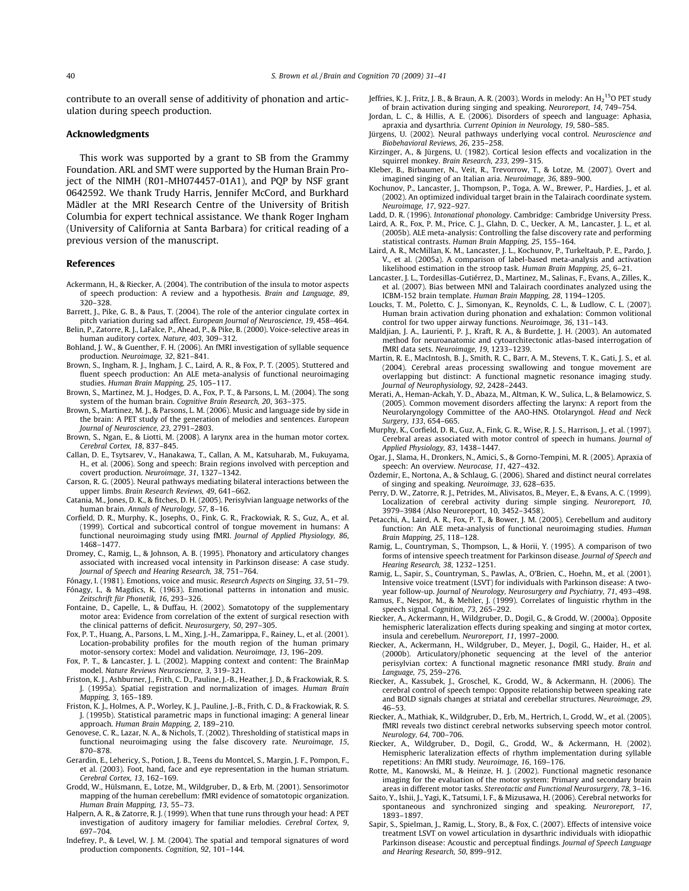contribute to an overall sense of additivity of phonation and articulation during speech production.

## Acknowledgments

This work was supported by a grant to SB from the Grammy Foundation. ARL and SMT were supported by the Human Brain Project of the NIMH (R01-MH074457-01A1), and PQP by NSF grant 0642592. We thank Trudy Harris, Jennifer McCord, and Burkhard Mädler at the MRI Research Centre of the University of British Columbia for expert technical assistance. We thank Roger Ingham (University of California at Santa Barbara) for critical reading of a previous version of the manuscript.

## References

- Ackermann, H., & Riecker, A. (2004). The contribution of the insula to motor aspects of speech production: A review and a hypothesis. Brain and Language, 89, 320–328.
- Barrett, J., Pike, G. B., & Paus, T. (2004). The role of the anterior cingulate cortex in pitch variation during sad affect. European Journal of Neuroscience, 19, 458–464.
- Belin, P., Zatorre, R. J., LaFalce, P., Ahead, P., & Pike, B. (2000). Voice-selective areas in human auditory cortex. Nature, 403, 309–312.
- Bohland, J. W., & Guenther, F. H. (2006). An fMRI investigation of syllable sequence production. Neuroimage, 32, 821–841.
- Brown, S., Ingham, R. J., Ingham, J. C., Laird, A. R., & Fox, P. T. (2005). Stuttered and fluent speech production: An ALE meta-analysis of functional neuroimaging studies. Human Brain Mapping, 25, 105–117.
- Brown, S., Martinez, M. J., Hodges, D. A., Fox, P. T., & Parsons, L. M. (2004). The song system of the human brain. Cognitive Brain Research, 20, 363–375.
- Brown, S., Martinez, M. J., & Parsons, L. M. (2006). Music and language side by side in the brain: A PET study of the generation of melodies and sentences. European Journal of Neuroscience, 23, 2791–2803.
- Brown, S., Ngan, E., & Liotti, M. (2008). A larynx area in the human motor cortex. Cerebral Cortex, 18, 837–845.
- Callan, D. E., Tsytsarev, V., Hanakawa, T., Callan, A. M., Katsuharab, M., Fukuyama, H., et al. (2006). Song and speech: Brain regions involved with perception and covert production. Neuroimage, 31, 1327–1342.
- Carson, R. G. (2005). Neural pathways mediating bilateral interactions between the upper limbs. Brain Research Reviews, 49, 641–662.
- Catania, M., Jones, D. K., & fitches, D. H. (2005). Perisylvian language networks of the human brain. Annals of Neurology, 57, 8–16.
- Corfield, D. R., Murphy, K., Josephs, O., Fink, G. R., Frackowiak, R. S., Guz, A., et al. (1999). Cortical and subcortical control of tongue movement in humans: A functional neuroimaging study using fMRI. Journal of Applied Physiology, 86, 1468–1477.
- Dromey, C., Ramig, L., & Johnson, A. B. (1995). Phonatory and articulatory changes associated with increased vocal intensity in Parkinson disease: A case study. Journal of Speech and Hearing Research, 38, 751–764.
- Fónagy, I. (1981). Emotions, voice and music. Research Aspects on Singing, 33, 51–79. Fónagy, I., & Magdics, K. (1963). Emotional patterns in intonation and music.
- Zeitschrift für Phonetik, 16, 293–326. Fontaine, D., Capelle, L., & Duffau, H. (2002). Somatotopy of the supplementary motor area: Evidence from correlation of the extent of surgical resection with the clinical patterns of deficit. Neurosurgery, 50, 297–305.
- Fox, P. T., Huang, A., Parsons, L. M., Xing, J.-H., Zamarippa, F., Rainey, L., et al. (2001). Location-probability profiles for the mouth region of the human primary motor-sensory cortex: Model and validation. Neuroimage, 13, 196–209.
- Fox, P. T., & Lancaster, J. L. (2002). Mapping context and content: The BrainMap model. Nature Reviews Neuroscience, 3, 319–321.
- Friston, K. J., Ashburner, J., Frith, C. D., Pauline, J.-B., Heather, J. D., & Frackowiak, R. S. J. (1995a). Spatial registration and normalization of images. Human Brain Mapping, 3, 165–189.
- Friston, K. J., Holmes, A. P., Worley, K. J., Pauline, J.-B., Frith, C. D., & Frackowiak, R. S. J. (1995b). Statistical parametric maps in functional imaging: A general linear approach. Human Brain Mapping, 2, 189–210.
- Genovese, C. R., Lazar, N. A., & Nichols, T. (2002). Thresholding of statistical maps in functional neuroimaging using the false discovery rate. Neuroimage, 15, 870–878.
- Gerardin, E., Lehericy, S., Potion, J. B., Teens du Montcel, S., Margin, J. F., Pompon, F., et al. (2003). Foot, hand, face and eye representation in the human striatum. Cerebral Cortex, 13, 162–169.
- Grodd, W., Hülsmann, E., Lotze, M., Wildgruber, D., & Erb, M. (2001). Sensorimotor mapping of the human cerebellum: fMRI evidence of somatotopic organization. Human Brain Mapping, 13, 55–73.
- Halpern, A. R., & Zatorre, R. J. (1999). When that tune runs through your head: A PET investigation of auditory imagery for familiar melodies. Cerebral Cortex, 9, 697–704.
- Indefrey, P., & Level, W. J. M. (2004). The spatial and temporal signatures of word production components. Cognition, 92, 101–144.
- Jeffries, K. J., Fritz, J. B., & Braun, A. R. (2003). Words in melody: An H2<sup>15</sup>O PET study of brain activation during singing and speaking. Neuroreport, 14, 749–754.
- Jordan, L. C., & Hillis, A. E. (2006). Disorders of speech and language: Aphasia, apraxia and dysarthria. Current Opinion in Neurology, 19, 580–585.
- Jürgens, U. (2002). Neural pathways underlying vocal control. Neuroscience and Biobehavioral Reviews, 26, 235–258.
- Kirzinger, A., & Jürgens, U. (1982). Cortical lesion effects and vocalization in the squirrel monkey. Brain Research, 233, 299–315.
- Kleber, B., Birbaumer, N., Veit, R., Trevorrow, T., & Lotze, M. (2007). Overt and imagined singing of an Italian aria. Neuroimage, 36, 889–900.
- Kochunov, P., Lancaster, J., Thompson, P., Toga, A. W., Brewer, P., Hardies, J., et al. (2002). An optimized individual target brain in the Talairach coordinate system. Neuroimage, 17, 922–927.
- Ladd, D. R. (1996). *Intonational phonology. C*ambridge: Cambridge University Press.<br>Laird, A. R., Fox, P. M., Price, C. J., Glahn, D. C., Uecker, A. M., Lancaster, J. L., et al.
- (2005b). ALE meta-analysis: Controlling the false discovery rate and performing statistical contrasts. Human Brain Mapping, 25, 155–164.
- Laird, A. R., McMillan, K. M., Lancaster, J. L., Kochunov, P., Turkeltaub, P. E., Pardo, J. V., et al. (2005a). A comparison of label-based meta-analysis and activation likelihood estimation in the stroop task. Human Brain Mapping, 25, 6–21.
- Lancaster, J. L., Tordesillas-Gutiérrez, D., Martinez, M., Salinas, F., Evans, A., Zilles, K., et al. (2007). Bias between MNI and Talairach coordinates analyzed using the ICBM-152 brain template. Human Brain Mapping, 28, 1194–1205.
- Loucks, T. M., Poletto, C. J., Simonyan, K., Reynolds, C. L., & Ludlow, C. L. (2007). Human brain activation during phonation and exhalation: Common volitional control for two upper airway functions. Neuroimage, 36, 131–143.
- Maldjian, J. A., Laurienti, P. J., Kraft, R. A., & Burdette, J. H. (2003). An automated method for neuroanatomic and cytoarchitectonic atlas-based interrogation of fMRI data sets. Neuroimage, 19, 1233–1239.
- Martin, R. E., MacIntosh, B. J., Smith, R. C., Barr, A. M., Stevens, T. K., Gati, J. S., et al. (2004). Cerebral areas processing swallowing and tongue movement are overlapping but distinct: A functional magnetic resonance imaging study. Journal of Neurophysiology, 92, 2428–2443.
- Merati, A., Heman-Ackah, Y. D., Abaza, M., Altman, K. W., Sulica, L., & Belamowicz, S. (2005). Common movement disorders affecting the larynx: A report from the Neurolaryngology Committee of the AAO-HNS. Otolaryngol. Head and Neck Surgery, 133, 654–665.
- Murphy, K., Corfield, D. R., Guz, A., Fink, G. R., Wise, R. J. S., Harrison, J., et al. (1997). Cerebral areas associated with motor control of speech in humans. Journal of Applied Physiology, 83, 1438–1447.
- Ogar, J., Slama, H., Dronkers, N., Amici, S., & Gorno-Tempini, M. R. (2005). Apraxia of speech: An overview. Neurocase, 11, 427–432.
- Özdemir, E., Nortona, A., & Schlaug, G. (2006). Shared and distinct neural correlates of singing and speaking. Neuroimage, 33, 628–635.
- Perry, D. W., Zatorre, R. J., Petrides, M., Alivisatos, B., Meyer, E., & Evans, A. C. (1999). Localization of cerebral activity during simple singing. Neuroreport, 10, 3979–3984 (Also Neuroreport, 10, 3452–3458).
- Petacchi, A., Laird, A. R., Fox, P. T., & Bower, J. M. (2005). Cerebellum and auditory function: An ALE meta-analysis of functional neuroimaging studies. Human Brain Mapping, 25, 118–128.
- Ramig, L., Countryman, S., Thompson, L., & Horii, Y. (1995). A comparison of two forms of intensive speech treatment for Parkinson disease. Journal of Speech and Hearing Research, 38, 1232–1251.

Ramig, L., Sapir, S., Countryman, S., Pawlas, A., O'Brien, C., Hoehn, M., et al. (2001). Intensive voice treatment (LSVT) for individuals with Parkinson disease: A twoyear follow-up. Journal of Neurology, Neurosurgery and Psychiatry, 71, 493–498.

- Ramus, F., Nespor, M., & Mehler, J. (1999). Correlates of linguistic rhythm in the speech signal. Cognition, 73, 265–292.
- Riecker, A., Ackermann, H., Wildgruber, D., Dogil, G., & Grodd, W. (2000a). Opposite hemispheric lateralization effects during speaking and singing at motor cortex, insula and cerebellum. Neuroreport, 11, 1997–2000.
- Riecker, A., Ackermann, H., Wildgruber, D., Meyer, J., Dogil, G., Haider, H., et al. (2000b). Articulatory/phonetic sequencing at the level of the anterior perisylvian cortex: A functional magnetic resonance fMRI study. Brain and
- Language, 75, 259–276. Riecker, A., Kassubek, J., Groschel, K., Grodd, W., & Ackermann, H. (2006). The cerebral control of speech tempo: Opposite relationship between speaking rate and BOLD signals changes at striatal and cerebellar structures. Neuroimage, 29, 46–53.
- Riecker, A., Mathiak, K., Wildgruber, D., Erb, M., Hertrich, I., Grodd, W., et al. (2005). fMRI reveals two distinct cerebral networks subserving speech motor control. Neurology, 64, 700–706.
- Riecker, A., Wildgruber, D., Dogil, G., Grodd, W., & Ackermann, H. (2002). Hemispheric lateralization effects of rhythm implementation during syllable repetitions: An fMRI study. Neuroimage, 16, 169–176.
- Rotte, M., Kanowski, M., & Heinze, H. J. (2002). Functional magnetic resonance imaging for the evaluation of the motor system: Primary and secondary brain areas in different motor tasks. Stereotactic and Functional Neurosurgery, 78, 3–16.
- Saito, Y., Ishii, J., Yagi, K., Tatsumi, I. F., & Mizusawa, H. (2006). Cerebral networks for spontaneous and synchronized singing and speaking. Neuroreport, 17, 1893–1897.
- Sapir, S., Spielman, J., Ramig, L., Story, B., & Fox, C. (2007). Effects of intensive voice treatment LSVT on vowel articulation in dysarthric individuals with idiopathic Parkinson disease: Acoustic and perceptual findings. Journal of Speech Language and Hearing Research, 50, 899–912.